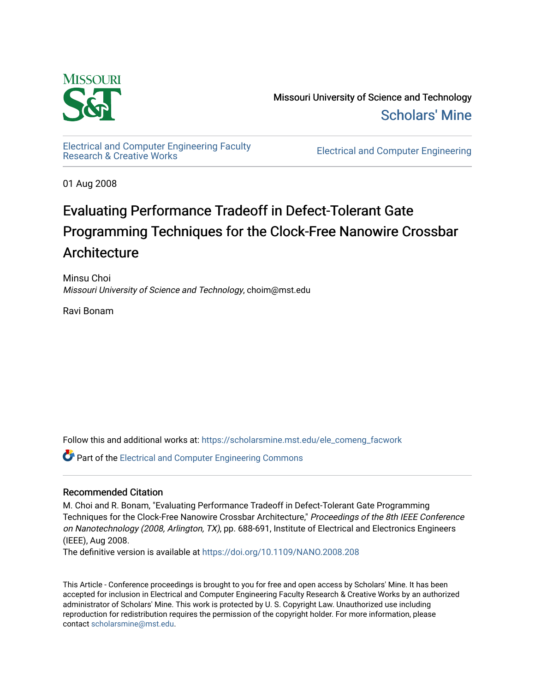

Missouri University of Science and Technology [Scholars' Mine](https://scholarsmine.mst.edu/) 

[Electrical and Computer Engineering Faculty](https://scholarsmine.mst.edu/ele_comeng_facwork)

**Electrical and Computer Engineering** 

01 Aug 2008

## Evaluating Performance Tradeoff in Defect-Tolerant Gate Programming Techniques for the Clock-Free Nanowire Crossbar Architecture

Minsu Choi Missouri University of Science and Technology, choim@mst.edu

Ravi Bonam

Follow this and additional works at: [https://scholarsmine.mst.edu/ele\\_comeng\\_facwork](https://scholarsmine.mst.edu/ele_comeng_facwork?utm_source=scholarsmine.mst.edu%2Fele_comeng_facwork%2F1031&utm_medium=PDF&utm_campaign=PDFCoverPages)

**P** Part of the Electrical and Computer Engineering Commons

### Recommended Citation

M. Choi and R. Bonam, "Evaluating Performance Tradeoff in Defect-Tolerant Gate Programming Techniques for the Clock-Free Nanowire Crossbar Architecture," Proceedings of the 8th IEEE Conference on Nanotechnology (2008, Arlington, TX), pp. 688-691, Institute of Electrical and Electronics Engineers (IEEE), Aug 2008.

The definitive version is available at <https://doi.org/10.1109/NANO.2008.208>

This Article - Conference proceedings is brought to you for free and open access by Scholars' Mine. It has been accepted for inclusion in Electrical and Computer Engineering Faculty Research & Creative Works by an authorized administrator of Scholars' Mine. This work is protected by U. S. Copyright Law. Unauthorized use including reproduction for redistribution requires the permission of the copyright holder. For more information, please contact [scholarsmine@mst.edu](mailto:scholarsmine@mst.edu).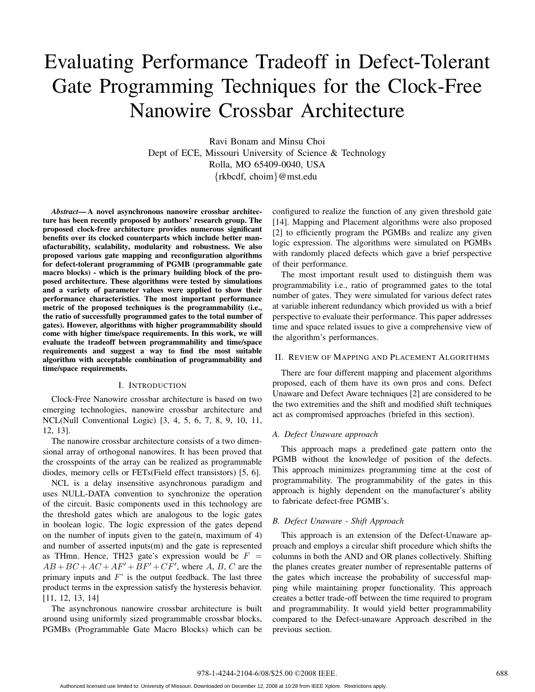# Evaluating Performance Tradeoff in Defect-Tolerant Gate Programming Techniques for the Clock-Free Nanowire Crossbar Architecture

Ravi Bonam and Minsu Choi Dept of ECE, Missouri University of Science & Technology Rolla, MO 65409-0040, USA *{*rkbcdf, choim*}*@mst.edu

*Abstract***— A novel asynchronous nanowire crossbar architecture has been recently proposed by authors' research group. The proposed clock-free architecture provides numerous significant benefits over its clocked counterparts which include better manufacturability, scalability, modularity and robustness. We also proposed various gate mapping and reconfiguration algorithms for defect-tolerant programming of PGMB (programmable gate macro blocks) - which is the primary building block of the proposed architecture. These algorithms were tested by simulations and a variety of parameter values were applied to show their performance characteristics. The most important performance metric of the proposed techniques is the programmability (i.e., the ratio of successfully programmed gates to the total number of gates). However, algorithms with higher programmability should come with higher time/space requirements. In this work, we will evaluate the tradeoff between programmability and time/space requirements and suggest a way to find the most suitable algorithm with acceptable combination of programmability and time/space requirements.**

#### I. INTRODUCTION

Clock-Free Nanowire crossbar architecture is based on two emerging technologies, nanowire crossbar architecture and NCL(Null Conventional Logic) [3, 4, 5, 6, 7, 8, 9, 10, 11, 12, 13].

The nanowire crossbar architecture consists of a two dimensional array of orthogonal nanowires. It has been proved that the crosspoints of the array can be realized as programmable diodes, memory cells or FETs(Field effect transistors) [5, 6].

NCL is a delay insensitive asynchronous paradigm and uses NULL-DATA convention to synchronize the operation of the circuit. Basic components used in this technology are the threshold gates which are analogous to the logic gates in boolean logic. The logic expression of the gates depend on the number of inputs given to the gate(n, maximum of 4) and number of asserted inputs(m) and the gate is represented as THmn. Hence, TH23 gate's expression would be  $F =$  $AB + BC + AC + AF' + BF' + CF'$ , where *A*, *B*, *C* are the primary inputs and *F*' is the output feedback. The last three product terms in the expression satisfy the hysteresis behavior. [11, 12, 13, 14]

The asynchronous nanowire crossbar architecture is built around using uniformly sized programmable crossbar blocks, PGMBs (Programmable Gate Macro Blocks) which can be

configured to realize the function of any given threshold gate [14]. Mapping and Placement algorithms were also proposed [2] to efficiently program the PGMBs and realize any given logic expression. The algorithms were simulated on PGMBs with randomly placed defects which gave a brief perspective of their performance.

The most important result used to distinguish them was programmability i.e., ratio of programmed gates to the total number of gates. They were simulated for various defect rates at variable inherent redundancy which provided us with a brief perspective to evaluate their performance. This paper addresses time and space related issues to give a comprehensive view of the algorithm's performances.

#### II. REVIEW OF MAPPING AND PLACEMENT ALGORITHMS

There are four different mapping and placement algorithms proposed, each of them have its own pros and cons. Defect Unaware and Defect Aware techniques [2] are considered to be the two extremities and the shift and modified shift techniques act as compromised approaches (briefed in this section).

#### *A. Defect Unaware approach*

This approach maps a predefined gate pattern onto the PGMB without the knowledge of position of the defects. This approach minimizes programming time at the cost of programmability. The programmability of the gates in this approach is highly dependent on the manufacturer's ability to fabricate defect-free PGMB's.

#### *B. Defect Unaware - Shift Approach*

This approach is an extension of the Defect-Unaware approach and employs a circular shift procedure which shifts the columns in both the AND and OR planes collectively. Shifting the planes creates greater number of representable patterns of the gates which increase the probability of successful mapping while maintaining proper functionality. This approach creates a better trade-off between the time required to program and programmability. It would yield better programmability compared to the Defect-unaware Approach described in the previous section.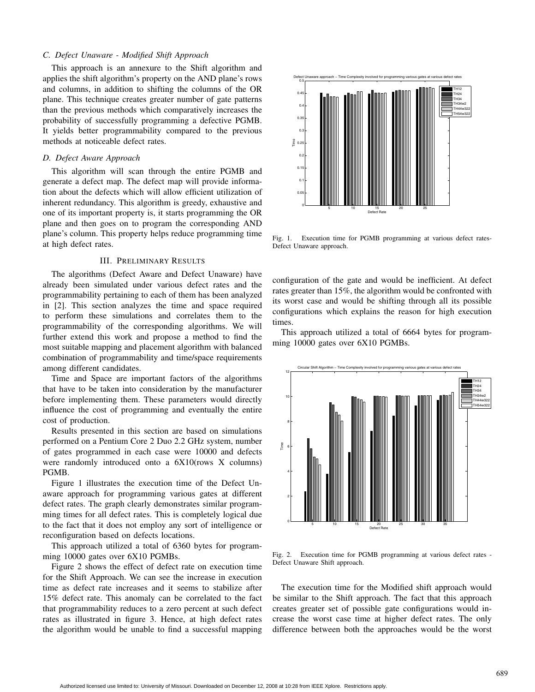#### *C. Defect Unaware - Modified Shift Approach*

This approach is an annexure to the Shift algorithm and applies the shift algorithm's property on the AND plane's rows and columns, in addition to shifting the columns of the OR plane. This technique creates greater number of gate patterns than the previous methods which comparatively increases the probability of successfully programming a defective PGMB. It yields better programmability compared to the previous methods at noticeable defect rates.

#### *D. Defect Aware Approach*

This algorithm will scan through the entire PGMB and generate a defect map. The defect map will provide information about the defects which will allow efficient utilization of inherent redundancy. This algorithm is greedy, exhaustive and one of its important property is, it starts programming the OR plane and then goes on to program the corresponding AND plane's column. This property helps reduce programming time at high defect rates.

#### III. PRELIMINARY RESULTS

The algorithms (Defect Aware and Defect Unaware) have already been simulated under various defect rates and the programmability pertaining to each of them has been analyzed in [2]. This section analyzes the time and space required to perform these simulations and correlates them to the programmability of the corresponding algorithms. We will further extend this work and propose a method to find the most suitable mapping and placement algorithm with balanced combination of programmability and time/space requirements among different candidates.

Time and Space are important factors of the algorithms that have to be taken into consideration by the manufacturer before implementing them. These parameters would directly influence the cost of programming and eventually the entire cost of production.

Results presented in this section are based on simulations performed on a Pentium Core 2 Duo 2.2 GHz system, number of gates programmed in each case were 10000 and defects were randomly introduced onto a 6X10(rows X columns) PGMB.

Figure 1 illustrates the execution time of the Defect Unaware approach for programming various gates at different defect rates. The graph clearly demonstrates similar programming times for all defect rates. This is completely logical due to the fact that it does not employ any sort of intelligence or reconfiguration based on defects locations.

This approach utilized a total of 6360 bytes for programming 10000 gates over 6X10 PGMBs.

Figure 2 shows the effect of defect rate on execution time for the Shift Approach. We can see the increase in execution time as defect rate increases and it seems to stabilize after 15% defect rate. This anomaly can be correlated to the fact that programmability reduces to a zero percent at such defect rates as illustrated in figure 3. Hence, at high defect rates the algorithm would be unable to find a successful mapping



Fig. 1. Execution time for PGMB programming at various defect rates-Defect Unaware approach.

configuration of the gate and would be inefficient. At defect rates greater than 15%, the algorithm would be confronted with its worst case and would be shifting through all its possible configurations which explains the reason for high execution times.

This approach utilized a total of 6664 bytes for programming 10000 gates over 6X10 PGMBs.



Fig. 2. Execution time for PGMB programming at various defect rates - Defect Unaware Shift approach.

The execution time for the Modified shift approach would be similar to the Shift approach. The fact that this approach creates greater set of possible gate configurations would increase the worst case time at higher defect rates. The only difference between both the approaches would be the worst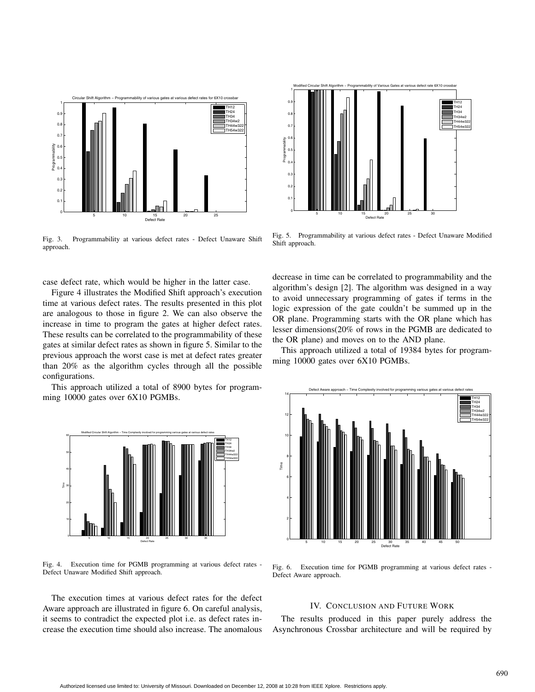

Fig. 3. Programmability at various defect rates - Defect Unaware Shift approach.

case defect rate, which would be higher in the latter case.

Figure 4 illustrates the Modified Shift approach's execution time at various defect rates. The results presented in this plot are analogous to those in figure 2. We can also observe the increase in time to program the gates at higher defect rates. These results can be correlated to the programmability of these gates at similar defect rates as shown in figure 5. Similar to the previous approach the worst case is met at defect rates greater than 20% as the algorithm cycles through all the possible configurations.

This approach utilized a total of 8900 bytes for programming 10000 gates over 6X10 PGMBs.



Fig. 4. Execution time for PGMB programming at various defect rates - Defect Unaware Modified Shift approach.

The execution times at various defect rates for the defect Aware approach are illustrated in figure 6. On careful analysis, it seems to contradict the expected plot i.e. as defect rates increase the execution time should also increase. The anomalous



Fig. 5. Programmability at various defect rates - Defect Unaware Modified Shift approach.

decrease in time can be correlated to programmability and the algorithm's design [2]. The algorithm was designed in a way to avoid unnecessary programming of gates if terms in the logic expression of the gate couldn't be summed up in the OR plane. Programming starts with the OR plane which has lesser dimensions(20% of rows in the PGMB are dedicated to the OR plane) and moves on to the AND plane.

This approach utilized a total of 19384 bytes for programming 10000 gates over 6X10 PGMBs.



Fig. 6. Execution time for PGMB programming at various defect rates - Defect Aware approach.

#### IV. CONCLUSION AND FUTURE WORK

The results produced in this paper purely address the Asynchronous Crossbar architecture and will be required by